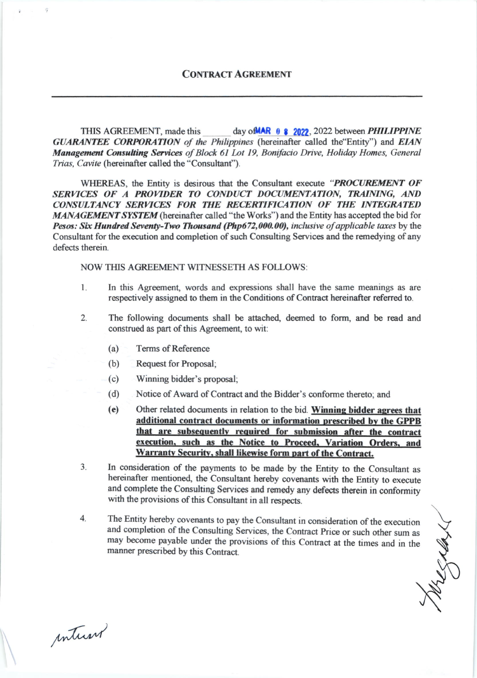## **CONTRACT AGREEMENT**

THIS AGREEMENT, made this day of MAR  $\theta$  **8 2022**, 2022 between **PHILIPPINE** GUARANTEE CORPORATION of the Philippines (hereinafter called the Entity") and EIAN Management Consulting Services of Block 61 Lot 19, Bonifacio Drive, Holiday Homes, General Trias, Cavite (hereinafter called the "Consultant").

WHEREAS, the Entity is desirous that the Consultant execute "PROCUREMENT OF SERVICES OF A PROVIDER TO CONDUCT DOCUMENTATION, TRAINING, AND CONSULTANCY SERVICES FOR THE RECERTIFICATION OF THE INTEGRATED MANAGEMENT SYSTEM (hereinafter called "the Works") and the Entity has accepted the bid for Pesos: Six Hundred Seventy-Two Thousand (Php672,000.00), inclusive of applicable taxes by the Consultant for the execution and completion of such Consulting Services and the remedying of any defects therein

**NOW THIS AGREEMENT WITNESSETH AS FOLLOWS:** 

- In this Agreement, words and expressions shall have the same meanings as are 1. respectively assigned to them in the Conditions of Contract hereinafter referred to.
- $2.$ The following documents shall be attached, deemed to form, and be read and construed as part of this Agreement, to wit:
	- $(a)$ **Terms of Reference**
	- (b) Request for Proposal;
	- Winning bidder's proposal;  $(c)$
	- $(d)$ Notice of Award of Contract and the Bidder's conforme thereto; and
	- $(e)$ Other related documents in relation to the bid. Winning bidder agrees that additional contract documents or information prescribed by the GPPB that are subsequently required for submission after the contract execution, such as the Notice to Proceed, Variation Orders, and Warranty Security, shall likewise form part of the Contract.
- In consideration of the payments to be made by the Entity to the Consultant as  $3<sub>1</sub>$ hereinafter mentioned, the Consultant hereby covenants with the Entity to execute and complete the Consulting Services and remedy any defects therein in conformity with the provisions of this Consultant in all respects.
- The Entity hereby covenants to pay the Consultant in consideration of the execution  $4.$ and completion of the Consulting Services, the Contract Price or such other sum as may become payable under the provisions of this Contract at the times and in the manner prescribed by this Contract.

wege

inturn

ä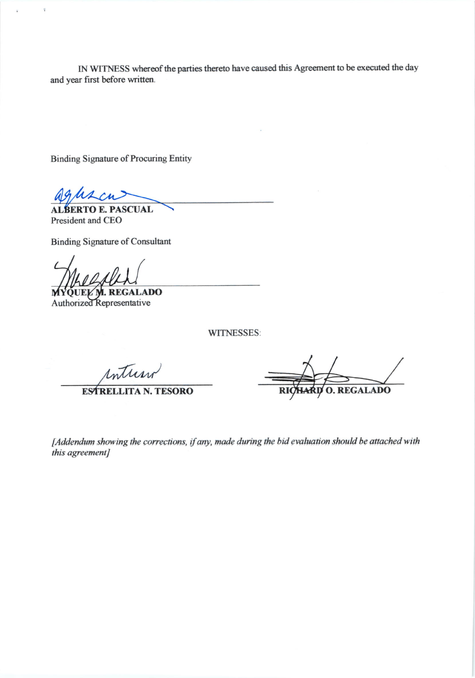IN WITNESS whereof the parties thereto have caused this Agreement to be executed the day and year first before written.

**Binding Signature of Procuring Entity** 

**SCUAL** President and CEO

**Binding Signature of Consultant** 

**JEL M. REGALADO Authorized Representative** 

WITNESSES:

Inturn

**ESTRELLITA N. TESORO** 

**O. REGALADO** 

[Addendum showing the corrections, if any, made during the bid evaluation should be attached with this agreement]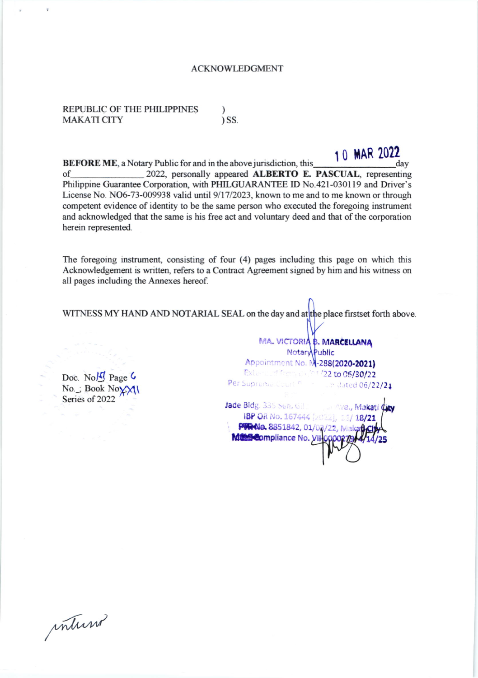## **ACKNOWLEDGMENT**

REPUBLIC OF THE PHILIPPINES  $)$  SS. **MAKATI CITY** 

10 MAR 2022 **BEFORE ME**, a Notary Public for and in the above jurisdiction, this day 2022, personally appeared ALBERTO E. PASCUAL, representing of Philippine Guarantee Corporation, with PHILGUARANTEE ID No.421-030119 and Driver's License No. NO6-73-009938 valid until 9/17/2023, known to me and to me known or through competent evidence of identity to be the same person who executed the foregoing instrument and acknowledged that the same is his free act and voluntary deed and that of the corporation herein represented.

The foregoing instrument, consisting of four (4) pages including this page on which this Acknowledgement is written, refers to a Contract Agreement signed by him and his witness on all pages including the Annexes hereof.

WITNESS MY HAND AND NOTARIAL SEAL on the day and at the place firstset forth above.

Doc. Nolly Page 6 No. ; Book No. XVI Series of 2022

MA. VICTORIA B. MARCELLANA Notary Public Appointment No. M-288(2020-2021) External from the 101/22 to 06/30/22 Per Supreme Court no an dated 06/22/21 Jade Bldg. 335 Sen, Gill Ave., Makati City IBP OR No. 167444 [2022], 13/18/21 PANa. 8851842, 01/03/22, Makati Ch Met Compliance No. VII-

inturn